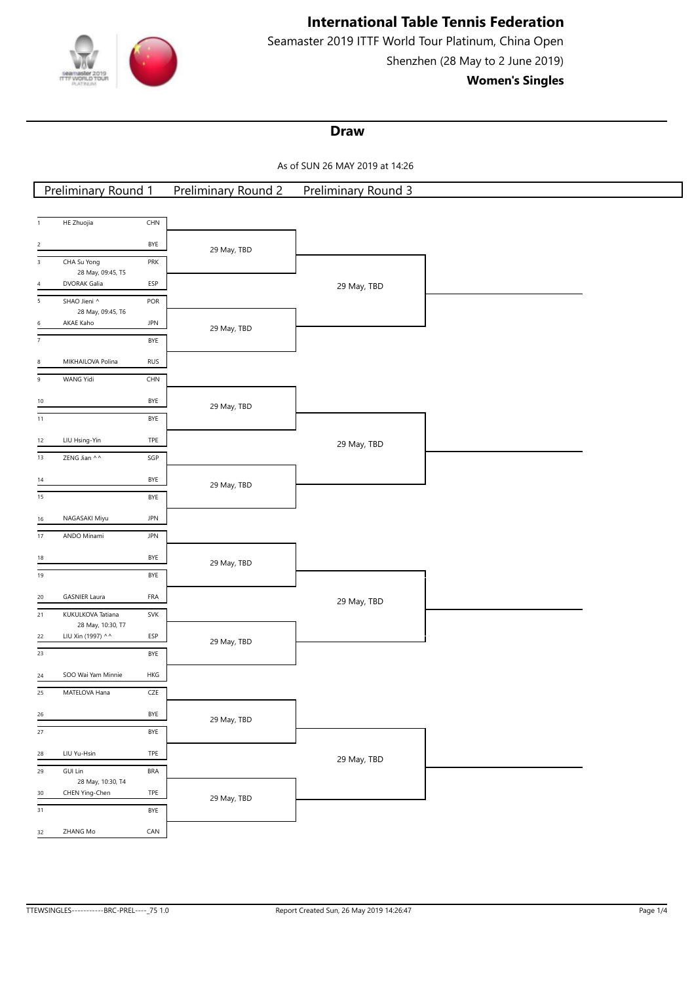

Seamaster 2019 ITTF World Tour Platinum, China Open Shenzhen (28 May to 2 June 2019)

**Women's Singles**

## **Draw**

As of SUN 26 MAY 2019 at 14:26

| <b>Preliminary Round 1</b>                                        | <b>Preliminary Round 2</b> | <b>Preliminary Round 3</b> |  |
|-------------------------------------------------------------------|----------------------------|----------------------------|--|
|                                                                   |                            |                            |  |
| CHN<br>HE Zhuojia<br>$\mathbf{1}$                                 |                            |                            |  |
| BYE<br>$\overline{2}$                                             | 29 May, TBD                |                            |  |
| $\overline{3}$<br>CHA Su Yong<br>PRK                              |                            |                            |  |
| 28 May, 09:45, T5<br>DVORAK Galia<br>ESP<br>$\sqrt{4}$            |                            | 29 May, TBD                |  |
| $\overline{5}$<br>SHAO Jieni ^<br>POR                             |                            |                            |  |
| 28 May, 09:45, T6<br>AKAE Kaho<br>JPN<br>6                        |                            |                            |  |
| $\overline{7}$<br>BYE                                             | 29 May, TBD                |                            |  |
|                                                                   |                            |                            |  |
| MIKHAILOVA Polina<br><b>RUS</b><br>8<br>WANG Yidi<br>CHN<br>$\,9$ |                            |                            |  |
|                                                                   |                            |                            |  |
| BYE<br>10                                                         | 29 May, TBD                |                            |  |
| BYE<br>11                                                         |                            |                            |  |
| LIU Hsing-Yin<br>TPE<br>12                                        |                            | 29 May, TBD                |  |
| ZENG Jian ^^<br>$\ensuremath{\mathsf{SGP}}$<br>13                 |                            |                            |  |
| BYE<br>14                                                         | 29 May, TBD                |                            |  |
| $\overline{15}$<br>BYE                                            |                            |                            |  |
| NAGASAKI Miyu<br><b>JPN</b><br>16                                 |                            |                            |  |
| $17\,$<br>ANDO Minami<br>JPN                                      |                            |                            |  |
| BYE<br>18                                                         | 29 May, TBD                |                            |  |
| 19<br>BYE                                                         |                            |                            |  |
| <b>GASNIER Laura</b><br>FRA<br>20                                 |                            | 29 May, TBD                |  |
| 21<br>KUKULKOVA Tatiana<br>SVK                                    |                            |                            |  |
| 28 May, 10:30, T7<br>LIU Xin (1997) ^^<br>ESP<br>22               |                            |                            |  |
| 23<br>BYE                                                         | 29 May, TBD                |                            |  |
| SOO Wai Yam Minnie<br>HKG<br>24                                   |                            |                            |  |
| 25<br>MATELOVA Hana<br>${\sf CZE}$                                |                            |                            |  |
| $\ensuremath{\mathsf{BYE}}$<br>$26\,$                             | 29 May, TBD                |                            |  |
| 27<br>BYE                                                         |                            |                            |  |
| LIU Yu-Hsin<br>TPE<br>28                                          |                            | 29 May, TBD                |  |
| <b>BRA</b><br>29<br><b>GUI Lin</b>                                |                            |                            |  |
| 28 May, 10:30, T4<br>CHEN Ying-Chen<br>TPE<br>30                  |                            |                            |  |
| 31<br>BYE                                                         | 29 May, TBD                |                            |  |
| ZHANG Mo<br>CAN<br>32                                             |                            |                            |  |
|                                                                   |                            |                            |  |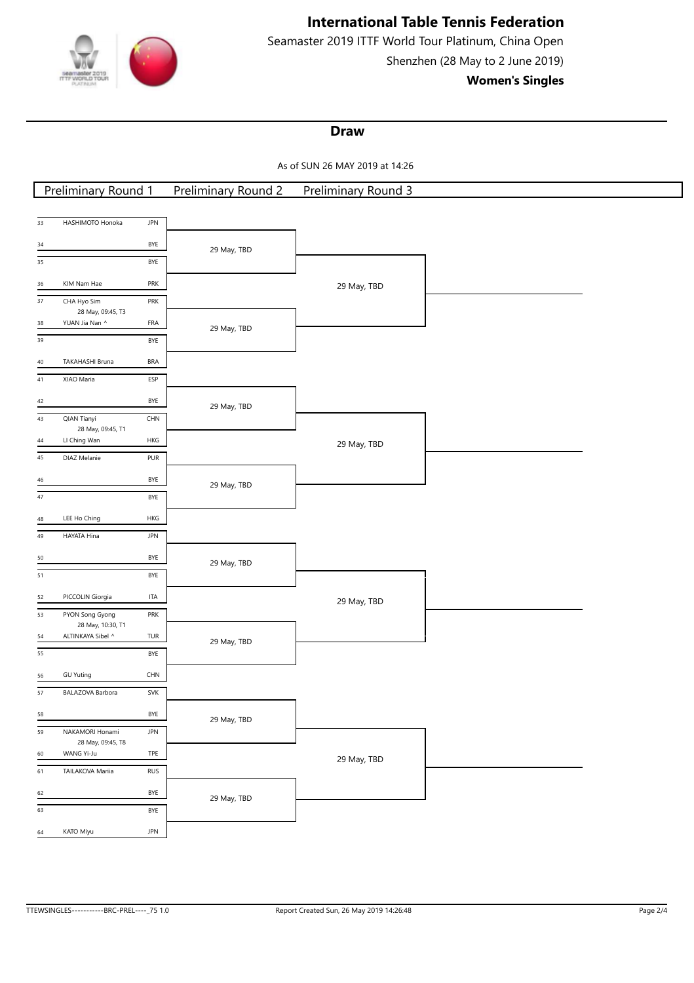

Seamaster 2019 ITTF World Tour Platinum, China Open Shenzhen (28 May to 2 June 2019)

**Women's Singles**

## **Draw**

As of SUN 26 MAY 2019 at 14:26

| <b>Preliminary Round 1</b>                               | <b>Preliminary Round 2</b> | <b>Preliminary Round 3</b> |  |
|----------------------------------------------------------|----------------------------|----------------------------|--|
|                                                          |                            |                            |  |
| HASHIMOTO Honoka<br>$\mathsf{JPN}$<br>33                 |                            |                            |  |
| BYE<br>34                                                | 29 May, TBD                |                            |  |
| 35<br>BYE                                                |                            |                            |  |
| PRK<br>KIM Nam Hae<br>36                                 |                            | 29 May, TBD                |  |
| CHA Hyo Sim<br>37<br>PRK                                 |                            |                            |  |
| 28 May, 09:45, T3                                        |                            |                            |  |
| YUAN Jia Nan ^<br>FRA<br>38<br>BYE<br>39                 | 29 May, TBD                |                            |  |
|                                                          |                            |                            |  |
| TAKAHASHI Bruna<br>BRA<br>40                             |                            |                            |  |
| XIAO Maria<br>ESP<br>41                                  |                            |                            |  |
| BYE<br>42                                                | 29 May, TBD                |                            |  |
| <b>QIAN Tianyi</b><br>$\mathsf{CHN}\xspace$<br>43        |                            |                            |  |
| 28 May, 09:45, T1<br>LI Ching Wan<br>HKG<br>44           |                            | 29 May, TBD                |  |
| PUR<br>$45\,$<br>DIAZ Melanie                            |                            |                            |  |
| BYE<br>46                                                |                            |                            |  |
| $\overline{47}$<br>BYE                                   | 29 May, TBD                |                            |  |
|                                                          |                            |                            |  |
| LEE Ho Ching<br>HKG<br>48                                |                            |                            |  |
| $49\,$<br><b>JPN</b><br>HAYATA Hina                      |                            |                            |  |
| BYE<br>50                                                | 29 May, TBD                |                            |  |
| $51\,$<br>BYE                                            |                            |                            |  |
| PICCOLIN Giorgia<br>ITA<br>52                            |                            | 29 May, TBD                |  |
| 53<br>PYON Song Gyong<br>PRK                             |                            |                            |  |
| 28 May, 10:30, T1<br>ALTINKAYA Sibel ^<br>TUR<br>54      |                            |                            |  |
| 55<br>BYE                                                | 29 May, TBD                |                            |  |
| CHN<br><b>GU Yuting</b><br>56                            |                            |                            |  |
| $57\,$<br>SVK<br>BALAZOVA Barbora                        |                            |                            |  |
|                                                          |                            |                            |  |
| BYE<br>58                                                | 29 May, TBD                |                            |  |
| 59<br>NAKAMORI Honami<br><b>JPN</b><br>28 May, 09:45, T8 |                            |                            |  |
| WANG Yi-Ju<br>TPE<br>60                                  |                            | 29 May, TBD                |  |
| $61\,$<br>TAILAKOVA Mariia<br><b>RUS</b>                 |                            |                            |  |
| BYE<br>62                                                | 29 May, TBD                |                            |  |
| 63<br>BYE                                                |                            |                            |  |
| KATO Miyu<br>JPN<br>64                                   |                            |                            |  |
|                                                          |                            |                            |  |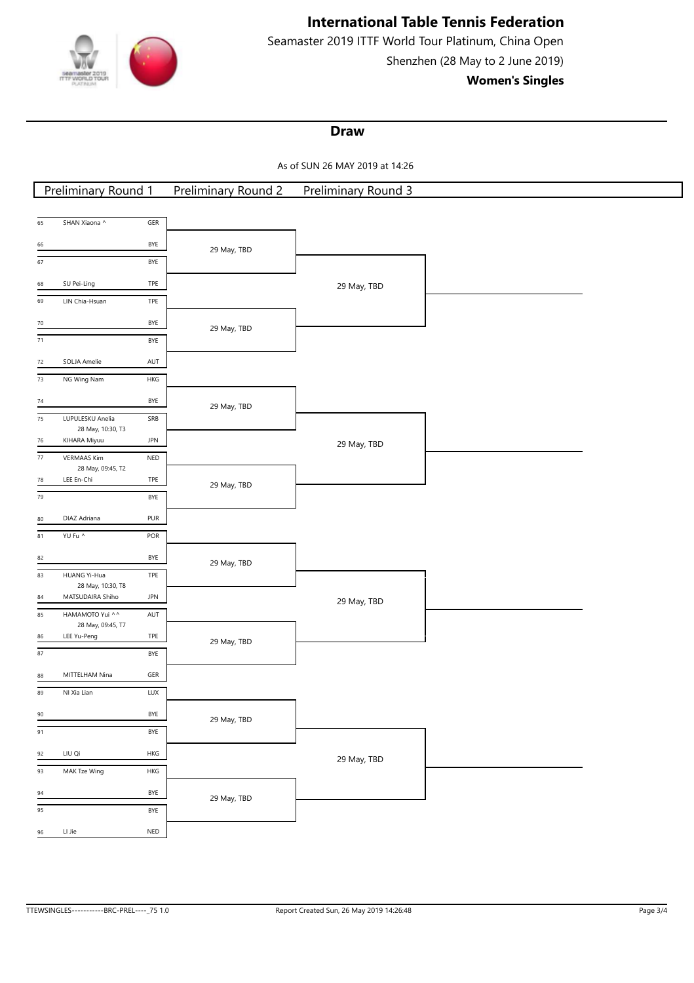

Seamaster 2019 ITTF World Tour Platinum, China Open Shenzhen (28 May to 2 June 2019)

**Women's Singles**

## **Draw**

As of SUN 26 MAY 2019 at 14:26

| <b>Preliminary Round 1</b>                                               | Preliminary Round 2 | <b>Preliminary Round 3</b> |  |
|--------------------------------------------------------------------------|---------------------|----------------------------|--|
|                                                                          |                     |                            |  |
| SHAN Xiaona ^<br>$\overline{\mathsf{GER}}$<br>65                         |                     |                            |  |
| BYE<br>66                                                                | 29 May, TBD         |                            |  |
| 67<br>BYE                                                                |                     |                            |  |
| TPE<br>SU Pei-Ling<br>68                                                 |                     | 29 May, TBD                |  |
| 69<br>LIN Chia-Hsuan<br>TPE                                              |                     |                            |  |
| BYE<br>70                                                                | 29 May, TBD         |                            |  |
| $\overline{71}$<br>BYE                                                   |                     |                            |  |
| SOLJA Amelie<br>AUT<br>$72\,$                                            |                     |                            |  |
| $\frac{1}{73}$<br>NG Wing Nam<br>HKG                                     |                     |                            |  |
| <b>BYE</b><br>$74\,$                                                     |                     |                            |  |
| LUPULESKU Anelia<br>SRB<br>$75\,$                                        | 29 May, TBD         |                            |  |
| 28 May, 10:30, T3<br><b>JPN</b><br>KIHARA Miyuu<br>76                    |                     |                            |  |
| <b>VERMAAS Kim</b><br>$\sf{NED}$<br>$77\,$                               |                     | 29 May, TBD                |  |
| 28 May, 09:45, T2<br>LEE En-Chi<br>TPE<br>${\bf 78}$                     |                     |                            |  |
| 79<br>BYE                                                                | 29 May, TBD         |                            |  |
| DIAZ Adriana<br>PUR<br>80                                                |                     |                            |  |
| 81<br>YU Fu ^<br>POR                                                     |                     |                            |  |
| BYE<br>82                                                                |                     |                            |  |
| 83<br>HUANG Yi-Hua<br>TPE                                                | 29 May, TBD         |                            |  |
| 28 May, 10:30, T8                                                        |                     |                            |  |
| MATSUDAIRA Shiho<br>JPN<br>84<br>HAMAMOTO Yui ^^<br>85<br>$\mathsf{AUT}$ |                     | 29 May, TBD                |  |
| 28 May, 09:45, T7                                                        |                     |                            |  |
| LEE Yu-Peng<br>TPE<br>86<br>$\overline{87}$<br>BYE                       | 29 May, TBD         |                            |  |
|                                                                          |                     |                            |  |
| MITTELHAM Nina<br>GER<br>88<br>LUX<br>89                                 |                     |                            |  |
| NI Xia Lian                                                              |                     |                            |  |
| BYE<br>$\frac{90}{2}$                                                    | 29 May, TBD         |                            |  |
| 91<br>BYE                                                                |                     |                            |  |
| LIU Qi<br>HKG<br>92                                                      |                     | 29 May, TBD                |  |
| 93<br>MAK Tze Wing<br>HKG                                                |                     |                            |  |
| BYE<br>94                                                                | 29 May, TBD         |                            |  |
| 95<br>BYE                                                                |                     |                            |  |
| LI Jie<br>NED<br>96                                                      |                     |                            |  |